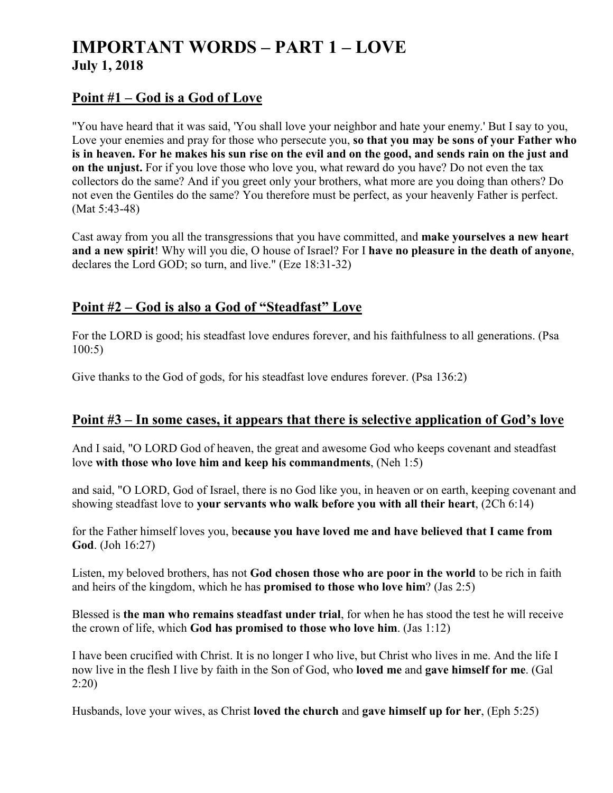# **IMPORTANT WORDS – PART 1 – LOVE July 1, 2018**

### **Point #1 – God is a God of Love**

"You have heard that it was said, 'You shall love your neighbor and hate your enemy.' But I say to you, Love your enemies and pray for those who persecute you, **so that you may be sons of your Father who is in heaven. For he makes his sun rise on the evil and on the good, and sends rain on the just and on the unjust.** For if you love those who love you, what reward do you have? Do not even the tax collectors do the same? And if you greet only your brothers, what more are you doing than others? Do not even the Gentiles do the same? You therefore must be perfect, as your heavenly Father is perfect. (Mat 5:43-48)

Cast away from you all the transgressions that you have committed, and **make yourselves a new heart and a new spirit**! Why will you die, O house of Israel? For I **have no pleasure in the death of anyone**, declares the Lord GOD; so turn, and live." (Eze 18:31-32)

### **Point #2 – God is also a God of "Steadfast" Love**

For the LORD is good; his steadfast love endures forever, and his faithfulness to all generations. (Psa 100:5)

Give thanks to the God of gods, for his steadfast love endures forever. (Psa 136:2)

#### **Point #3 – In some cases, it appears that there is selective application of God's love**

And I said, "O LORD God of heaven, the great and awesome God who keeps covenant and steadfast love **with those who love him and keep his commandments**, (Neh 1:5)

and said, "O LORD, God of Israel, there is no God like you, in heaven or on earth, keeping covenant and showing steadfast love to **your servants who walk before you with all their heart**, (2Ch 6:14)

for the Father himself loves you, b**ecause you have loved me and have believed that I came from God**. (Joh 16:27)

Listen, my beloved brothers, has not **God chosen those who are poor in the world** to be rich in faith and heirs of the kingdom, which he has **promised to those who love him**? (Jas 2:5)

Blessed is **the man who remains steadfast under trial**, for when he has stood the test he will receive the crown of life, which **God has promised to those who love him**. (Jas 1:12)

I have been crucified with Christ. It is no longer I who live, but Christ who lives in me. And the life I now live in the flesh I live by faith in the Son of God, who **loved me** and **gave himself for me**. (Gal 2:20)

Husbands, love your wives, as Christ **loved the church** and **gave himself up for her**, (Eph 5:25)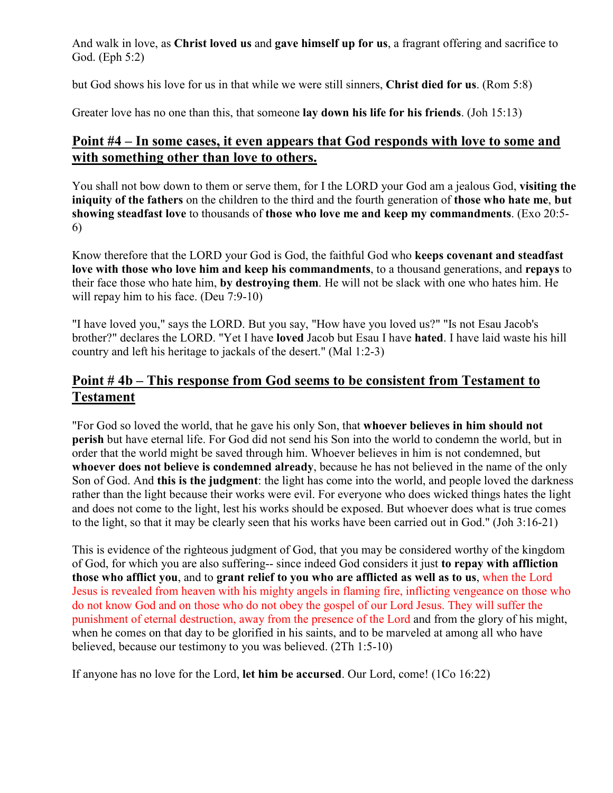And walk in love, as **Christ loved us** and **gave himself up for us**, a fragrant offering and sacrifice to God. (Eph 5:2)

but God shows his love for us in that while we were still sinners, **Christ died for us**. (Rom 5:8)

Greater love has no one than this, that someone **lay down his life for his friends**. (Joh 15:13)

### **Point #4 – In some cases, it even appears that God responds with love to some and with something other than love to others.**

You shall not bow down to them or serve them, for I the LORD your God am a jealous God, **visiting the iniquity of the fathers** on the children to the third and the fourth generation of **those who hate me**, **but showing steadfast love** to thousands of **those who love me and keep my commandments**. (Exo 20:5- 6)

Know therefore that the LORD your God is God, the faithful God who **keeps covenant and steadfast love with those who love him and keep his commandments**, to a thousand generations, and **repays** to their face those who hate him, **by destroying them**. He will not be slack with one who hates him. He will repay him to his face. (Deu 7:9-10)

"I have loved you," says the LORD. But you say, "How have you loved us?" "Is not Esau Jacob's brother?" declares the LORD. "Yet I have **loved** Jacob but Esau I have **hated**. I have laid waste his hill country and left his heritage to jackals of the desert." (Mal 1:2-3)

# **Point # 4b – This response from God seems to be consistent from Testament to Testament**

"For God so loved the world, that he gave his only Son, that **whoever believes in him should not perish** but have eternal life. For God did not send his Son into the world to condemn the world, but in order that the world might be saved through him. Whoever believes in him is not condemned, but **whoever does not believe is condemned already**, because he has not believed in the name of the only Son of God. And **this is the judgment**: the light has come into the world, and people loved the darkness rather than the light because their works were evil. For everyone who does wicked things hates the light and does not come to the light, lest his works should be exposed. But whoever does what is true comes to the light, so that it may be clearly seen that his works have been carried out in God." (Joh 3:16-21)

This is evidence of the righteous judgment of God, that you may be considered worthy of the kingdom of God, for which you are also suffering-- since indeed God considers it just **to repay with affliction those who afflict you**, and to **grant relief to you who are afflicted as well as to us**, when the Lord Jesus is revealed from heaven with his mighty angels in flaming fire, inflicting vengeance on those who do not know God and on those who do not obey the gospel of our Lord Jesus. They will suffer the punishment of eternal destruction, away from the presence of the Lord and from the glory of his might, when he comes on that day to be glorified in his saints, and to be marveled at among all who have believed, because our testimony to you was believed. (2Th 1:5-10)

If anyone has no love for the Lord, **let him be accursed**. Our Lord, come! (1Co 16:22)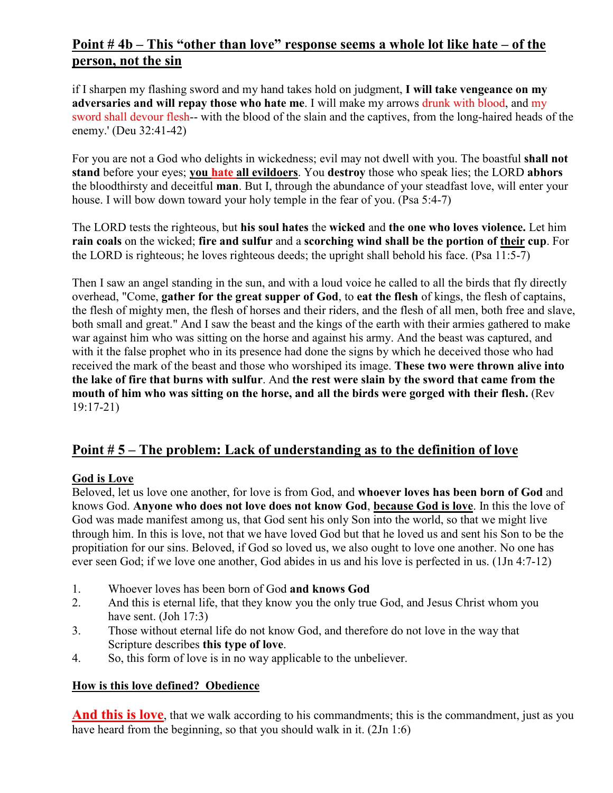# **Point # 4b – This "other than love" response seems a whole lot like hate – of the person, not the sin**

if I sharpen my flashing sword and my hand takes hold on judgment, **I will take vengeance on my adversaries and will repay those who hate me**. I will make my arrows drunk with blood, and my sword shall devour flesh-- with the blood of the slain and the captives, from the long-haired heads of the enemy.' (Deu 32:41-42)

For you are not a God who delights in wickedness; evil may not dwell with you. The boastful **shall not stand** before your eyes; **you hate all evildoers**. You **destroy** those who speak lies; the LORD **abhors** the bloodthirsty and deceitful **man**. But I, through the abundance of your steadfast love, will enter your house. I will bow down toward your holy temple in the fear of you. (Psa 5:4-7)

The LORD tests the righteous, but **his soul hates** the **wicked** and **the one who loves violence.** Let him **rain coals** on the wicked; **fire and sulfur** and a **scorching wind shall be the portion of their cup**. For the LORD is righteous; he loves righteous deeds; the upright shall behold his face. (Psa 11:5-7)

Then I saw an angel standing in the sun, and with a loud voice he called to all the birds that fly directly overhead, "Come, **gather for the great supper of God**, to **eat the flesh** of kings, the flesh of captains, the flesh of mighty men, the flesh of horses and their riders, and the flesh of all men, both free and slave, both small and great." And I saw the beast and the kings of the earth with their armies gathered to make war against him who was sitting on the horse and against his army. And the beast was captured, and with it the false prophet who in its presence had done the signs by which he deceived those who had received the mark of the beast and those who worshiped its image. **These two were thrown alive into the lake of fire that burns with sulfur**. And **the rest were slain by the sword that came from the mouth of him who was sitting on the horse, and all the birds were gorged with their flesh.** (Rev 19:17-21)

## **Point # 5 – The problem: Lack of understanding as to the definition of love**

#### **God is Love**

Beloved, let us love one another, for love is from God, and **whoever loves has been born of God** and knows God. **Anyone who does not love does not know God**, **because God is love**. In this the love of God was made manifest among us, that God sent his only Son into the world, so that we might live through him. In this is love, not that we have loved God but that he loved us and sent his Son to be the propitiation for our sins. Beloved, if God so loved us, we also ought to love one another. No one has ever seen God; if we love one another, God abides in us and his love is perfected in us. (1Jn 4:7-12)

- 1. Whoever loves has been born of God **and knows God**
- 2. And this is eternal life, that they know you the only true God, and Jesus Christ whom you have sent. (Joh 17:3)
- 3. Those without eternal life do not know God, and therefore do not love in the way that Scripture describes **this type of love**.
- 4. So, this form of love is in no way applicable to the unbeliever.

#### **How is this love defined? Obedience**

**And this is love**, that we walk according to his commandments; this is the commandment, just as you have heard from the beginning, so that you should walk in it. (2Jn 1:6)